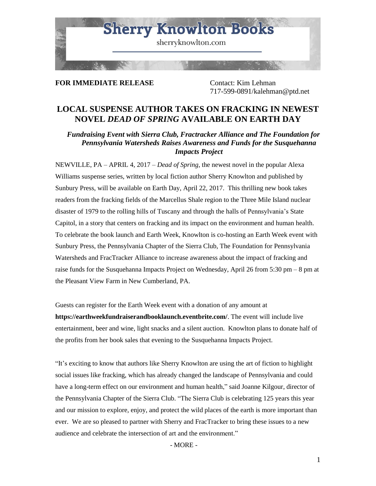

# **FOR IMMEDIATE RELEASE** Contact: Kim Lehman

717-599-0891/kalehman@ptd.net

# **LOCAL SUSPENSE AUTHOR TAKES ON FRACKING IN NEWEST NOVEL** *DEAD OF SPRING* **AVAILABLE ON EARTH DAY**

*Fundraising Event with Sierra Club, Fractracker Alliance and The Foundation for Pennsylvania Watersheds Raises Awareness and Funds for the Susquehanna Impacts Project*

NEWVILLE, PA – APRIL 4, 2017 – *Dead of Spring*, the newest novel in the popular Alexa Williams suspense series, written by local fiction author Sherry Knowlton and published by Sunbury Press, will be available on Earth Day, April 22, 2017. This thrilling new book takes readers from the fracking fields of the Marcellus Shale region to the Three Mile Island nuclear disaster of 1979 to the rolling hills of Tuscany and through the halls of Pennsylvania's State Capitol, in a story that centers on fracking and its impact on the environment and human health. To celebrate the book launch and Earth Week, Knowlton is co-hosting an Earth Week event with Sunbury Press, the Pennsylvania Chapter of the Sierra Club, The Foundation for Pennsylvania Watersheds and FracTracker Alliance to increase awareness about the impact of fracking and raise funds for the Susquehanna Impacts Project on Wednesday, April 26 from 5:30 pm – 8 pm at the Pleasant View Farm in New Cumberland, PA.

Guests can register for the Earth Week event with a donation of any amount at **https://earthweekfundraiserandbooklaunch.eventbrite.com/**. The event will include live entertainment, beer and wine, light snacks and a silent auction. Knowlton plans to donate half of the profits from her book sales that evening to the Susquehanna Impacts Project.

"It's exciting to know that authors like Sherry Knowlton are using the art of fiction to highlight social issues like fracking, which has already changed the landscape of Pennsylvania and could have a long-term effect on our environment and human health," said Joanne Kilgour, director of the Pennsylvania Chapter of the Sierra Club. "The Sierra Club is celebrating 125 years this year and our mission to explore, enjoy, and protect the wild places of the earth is more important than ever. We are so pleased to partner with Sherry and FracTracker to bring these issues to a new audience and celebrate the intersection of art and the environment."

- MORE -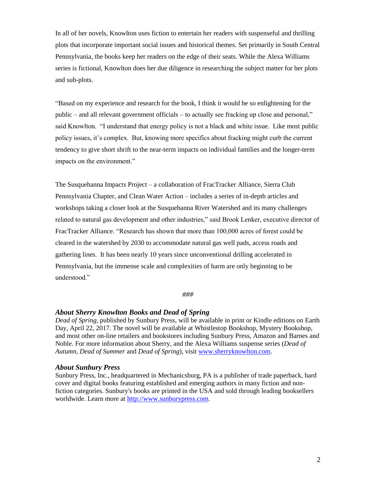In all of her novels, Knowlton uses fiction to entertain her readers with suspenseful and thrilling plots that incorporate important social issues and historical themes. Set primarily in South Central Pennsylvania, the books keep her readers on the edge of their seats. While the Alexa Williams series is fictional, Knowlton does her due diligence in researching the subject matter for her plots and sub-plots.

"Based on my experience and research for the book, I think it would be so enlightening for the public – and all relevant government officials – to actually see fracking up close and personal," said Knowlton. "I understand that energy policy is not a black and white issue. Like most public policy issues, it's complex. But, knowing more specifics about fracking might curb the current tendency to give short shrift to the near-term impacts on individual families and the longer-term impacts on the environment."

The Susquehanna Impacts Project – a collaboration of FracTracker Alliance, Sierra Club Pennsylvania Chapter, and Clean Water Action – includes a series of in-depth articles and workshops taking a closer look at the Susquehanna River Watershed and its many challenges related to natural gas development and other industries," said Brook Lenker, executive director of FracTracker Alliance. "Research has shown that more than 100,000 acres of forest could be cleared in the watershed by 2030 to accommodate natural gas well pads, access roads and gathering lines. It has been nearly 10 years since unconventional drilling accelerated in Pennsylvania, but the immense scale and complexities of harm are only beginning to be understood."

#### *###*

### *About Sherry Knowlton Books and Dead of Spring*

*Dead of Spring*, published by Sunbury Press, will be available in print or Kindle editions on Earth Day, April 22, 2017. The novel will be available at Whistlestop Bookshop, Mystery Bookshop, and most other on-line retailers and bookstores including Sunbury Press, Amazon and Barnes and Noble. For more information about Sherry, and the Alexa Williams suspense series (*Dead of Autumn*, *Dead of Summer* and *Dead of Spring*), visit [www.sherryknowlton.com.](http://www.sherryknowlton.com/)

#### *About Sunbury Press*

Sunbury Press, Inc., headquartered in Mechanicsburg, PA is a publisher of trade paperback, hard cover and digital books featuring established and emerging authors in many fiction and nonfiction categories. Sunbury's books are printed in the USA and sold through leading booksellers worldwide. Learn more at [http://www.sunburypress.com.](http://www.sunburypress.com/)